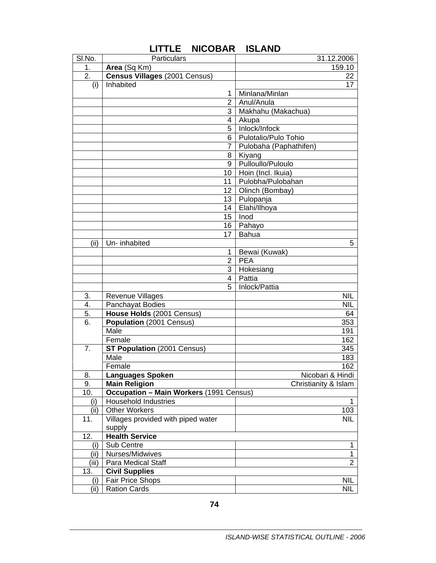| SI.No. | Particulars                                    | 31.12.2006             |
|--------|------------------------------------------------|------------------------|
| 1.     | Area (Sq Km)                                   | 159.10                 |
| 2.     | Census Villages (2001 Census)                  | 22                     |
| (i)    | Inhabited                                      | 17                     |
|        | 1                                              | Minlana/Minlan         |
|        | $\overline{2}$                                 | Anul/Anula             |
|        | 3 I                                            | Makhahu (Makachua)     |
|        | 4                                              | Akupa                  |
|        | 5                                              | Inlock/Infock          |
|        | 6                                              | Pulotalio/Pulo Tohio   |
|        | 7                                              | Pulobaha (Paphathifen) |
|        | 8                                              | Kiyang                 |
|        | 9                                              | Pulloullo/Puloulo      |
|        | 10                                             | Hoin (Incl. Ikuia)     |
|        | 11                                             | Pulobha/Pulobahan      |
|        | 12 <sup>2</sup>                                |                        |
|        | 13                                             | Olinch (Bombay)        |
|        |                                                | Pulopanja              |
|        | 14                                             | Elahi/Ilhoya           |
|        | 15                                             | Inod                   |
|        | 16                                             | Pahayo                 |
|        | 17                                             | Bahua                  |
| (ii)   | Un-inhabited                                   | 5                      |
|        | 1                                              | Bewai (Kuwak)          |
|        | $\mathbf{2}$                                   | <b>PEA</b>             |
|        | 3                                              | Hokesiang              |
|        | 4                                              | Pattia                 |
|        | 5                                              | Inlock/Pattia          |
| 3.     | <b>Revenue Villages</b>                        | <b>NIL</b>             |
| 4.     | Panchayat Bodies                               | <b>NIL</b>             |
| 5.     | House Holds (2001 Census)                      | 64                     |
| 6.     | Population (2001 Census)                       | 353                    |
|        | Male                                           | 191                    |
|        | Female                                         | 162                    |
| 7.     | <b>ST Population (2001 Census)</b>             | 345                    |
|        | Male                                           | 183                    |
|        | Female                                         | 162                    |
| 8.     | Languages Spoken                               | Nicobari & Hindi       |
| 9.     | <b>Main Religion</b>                           | Christianity & Islam   |
| 10.    | <b>Occupation - Main Workers (1991 Census)</b> |                        |
| (i)    | <b>Household Industries</b>                    | 1.                     |
| (ii)   | <b>Other Workers</b>                           | 103                    |
| 11.    | Villages provided with piped water             | <b>NIL</b>             |
|        | supply                                         |                        |
| 12.    | <b>Health Service</b>                          |                        |
| (i)    | Sub Centre                                     | 1                      |
| (i)    | Nurses/Midwives                                | 1                      |
| (iii)  | Para Medical Staff                             | $\overline{2}$         |
| 13.    | <b>Civil Supplies</b>                          |                        |
| (i)    | Fair Price Shops                               | <b>NIL</b>             |
| (ii)   | <b>Ration Cards</b>                            | <b>NIL</b>             |

## **LITTLE NICOBAR ISLAND**